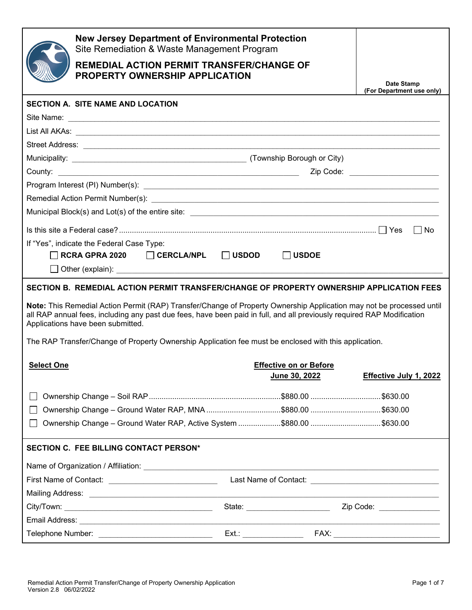| <b>New Jersey Department of Environmental Protection</b><br>Site Remediation & Waste Management Program<br><b>REMEDIAL ACTION PERMIT TRANSFER/CHANGE OF</b><br><b>PROPERTY OWNERSHIP APPLICATION</b>                                                                                | Date Stamp<br>(For Department use only) |  |  |  |  |
|-------------------------------------------------------------------------------------------------------------------------------------------------------------------------------------------------------------------------------------------------------------------------------------|-----------------------------------------|--|--|--|--|
| <b>SECTION A. SITE NAME AND LOCATION</b>                                                                                                                                                                                                                                            |                                         |  |  |  |  |
| Site Name: <u>Communications</u> Contract the Name of Site Name of The Name of The Name of The Name of The Name of The Name of The Name of The Name of The Name of The Name of The Name of The Name of The Name of The Name of The                                                  |                                         |  |  |  |  |
|                                                                                                                                                                                                                                                                                     |                                         |  |  |  |  |
|                                                                                                                                                                                                                                                                                     |                                         |  |  |  |  |
|                                                                                                                                                                                                                                                                                     |                                         |  |  |  |  |
|                                                                                                                                                                                                                                                                                     | Zip Code: ________________________      |  |  |  |  |
|                                                                                                                                                                                                                                                                                     |                                         |  |  |  |  |
|                                                                                                                                                                                                                                                                                     |                                         |  |  |  |  |
|                                                                                                                                                                                                                                                                                     |                                         |  |  |  |  |
|                                                                                                                                                                                                                                                                                     | $\Box$ No                               |  |  |  |  |
| If "Yes", indicate the Federal Case Type:<br>$\Box$ RCRA GPRA 2020 $\Box$ CERCLA/NPL $\Box$ USDOD<br>│ │USDOE                                                                                                                                                                       |                                         |  |  |  |  |
| SECTION B. REMEDIAL ACTION PERMIT TRANSFER/CHANGE OF PROPERTY OWNERSHIP APPLICATION FEES                                                                                                                                                                                            |                                         |  |  |  |  |
| Note: This Remedial Action Permit (RAP) Transfer/Change of Property Ownership Application may not be processed until<br>all RAP annual fees, including any past due fees, have been paid in full, and all previously required RAP Modification<br>Applications have been submitted. |                                         |  |  |  |  |
| The RAP Transfer/Change of Property Ownership Application fee must be enclosed with this application.                                                                                                                                                                               |                                         |  |  |  |  |
| <b>Effective on or Before</b><br><b>Select One</b><br>June 30, 2022                                                                                                                                                                                                                 | Effective July 1, 2022                  |  |  |  |  |
|                                                                                                                                                                                                                                                                                     |                                         |  |  |  |  |
|                                                                                                                                                                                                                                                                                     |                                         |  |  |  |  |
|                                                                                                                                                                                                                                                                                     |                                         |  |  |  |  |
| SECTION C. FEE BILLING CONTACT PERSON*                                                                                                                                                                                                                                              |                                         |  |  |  |  |
|                                                                                                                                                                                                                                                                                     |                                         |  |  |  |  |
| First Name of Contact: _________________________________                                                                                                                                                                                                                            |                                         |  |  |  |  |
|                                                                                                                                                                                                                                                                                     |                                         |  |  |  |  |
| State: ________________________                                                                                                                                                                                                                                                     | Zip Code: ________________              |  |  |  |  |
|                                                                                                                                                                                                                                                                                     |                                         |  |  |  |  |
| Telephone Number: _______________________________<br>Ext.: _________________________                                                                                                                                                                                                |                                         |  |  |  |  |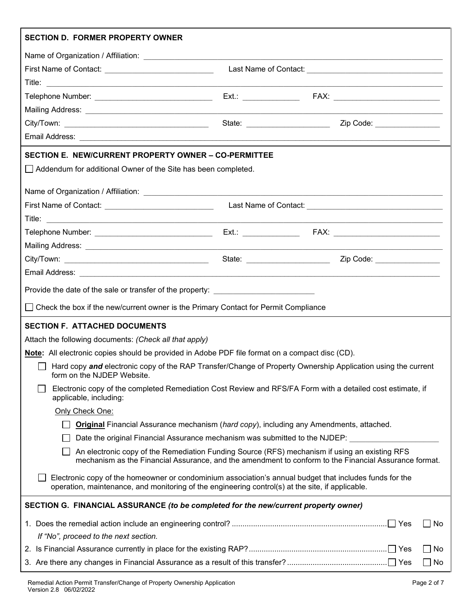| <b>SECTION D. FORMER PROPERTY OWNER</b>                                                                                                                                                                     |                                |                                                                                           |  |  |
|-------------------------------------------------------------------------------------------------------------------------------------------------------------------------------------------------------------|--------------------------------|-------------------------------------------------------------------------------------------|--|--|
|                                                                                                                                                                                                             |                                |                                                                                           |  |  |
| First Name of Contact: <u>[11] notice</u> and the set of Contact:                                                                                                                                           |                                |                                                                                           |  |  |
|                                                                                                                                                                                                             |                                |                                                                                           |  |  |
|                                                                                                                                                                                                             |                                |                                                                                           |  |  |
|                                                                                                                                                                                                             |                                |                                                                                           |  |  |
|                                                                                                                                                                                                             | State: _______________________ | Zip Code: 2000                                                                            |  |  |
|                                                                                                                                                                                                             |                                |                                                                                           |  |  |
| SECTION E. NEW/CURRENT PROPERTY OWNER – CO-PERMITTEE                                                                                                                                                        |                                |                                                                                           |  |  |
| Addendum for additional Owner of the Site has been completed.                                                                                                                                               |                                |                                                                                           |  |  |
|                                                                                                                                                                                                             |                                |                                                                                           |  |  |
| First Name of Contact: _______________________________                                                                                                                                                      |                                |                                                                                           |  |  |
|                                                                                                                                                                                                             |                                |                                                                                           |  |  |
|                                                                                                                                                                                                             |                                | the control of the control of the control of the control of the control of the control of |  |  |
|                                                                                                                                                                                                             |                                |                                                                                           |  |  |
|                                                                                                                                                                                                             | State: _______________________ | Zip Code: ________________                                                                |  |  |
|                                                                                                                                                                                                             |                                |                                                                                           |  |  |
| Provide the date of the sale or transfer of the property: ______________________                                                                                                                            |                                |                                                                                           |  |  |
| □ Check the box if the new/current owner is the Primary Contact for Permit Compliance                                                                                                                       |                                |                                                                                           |  |  |
|                                                                                                                                                                                                             |                                |                                                                                           |  |  |
| <b>SECTION F. ATTACHED DOCUMENTS</b>                                                                                                                                                                        |                                |                                                                                           |  |  |
| Attach the following documents: (Check all that apply)                                                                                                                                                      |                                |                                                                                           |  |  |
| Note: All electronic copies should be provided in Adobe PDF file format on a compact disc (CD).                                                                                                             |                                |                                                                                           |  |  |
| Hard copy and electronic copy of the RAP Transfer/Change of Property Ownership Application using the current<br>form on the NJDEP Website.                                                                  |                                |                                                                                           |  |  |
| Electronic copy of the completed Remediation Cost Review and RFS/FA Form with a detailed cost estimate, if<br>applicable, including:                                                                        |                                |                                                                                           |  |  |
| Only Check One:                                                                                                                                                                                             |                                |                                                                                           |  |  |
| <b>Original</b> Financial Assurance mechanism (hard copy), including any Amendments, attached.                                                                                                              |                                |                                                                                           |  |  |
| Date the original Financial Assurance mechanism was submitted to the NJDEP:                                                                                                                                 |                                |                                                                                           |  |  |
| An electronic copy of the Remediation Funding Source (RFS) mechanism if using an existing RFS<br>mechanism as the Financial Assurance, and the amendment to conform to the Financial Assurance format.      |                                |                                                                                           |  |  |
| Electronic copy of the homeowner or condominium association's annual budget that includes funds for the<br>operation, maintenance, and monitoring of the engineering control(s) at the site, if applicable. |                                |                                                                                           |  |  |
| SECTION G. FINANCIAL ASSURANCE (to be completed for the new/current property owner)                                                                                                                         |                                |                                                                                           |  |  |
|                                                                                                                                                                                                             |                                | No                                                                                        |  |  |
| If "No", proceed to the next section.                                                                                                                                                                       |                                |                                                                                           |  |  |
|                                                                                                                                                                                                             |                                | $\Box$ No                                                                                 |  |  |
|                                                                                                                                                                                                             | $\Box$ No                      |                                                                                           |  |  |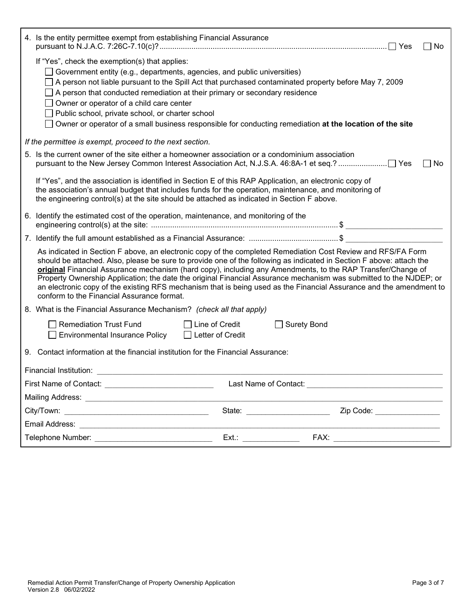| 4. Is the entity permittee exempt from establishing Financial Assurance                                                                                                                                                                                                                                                                                                                                                                                                                                                                                                                                                                        |                             | No. |  |  |
|------------------------------------------------------------------------------------------------------------------------------------------------------------------------------------------------------------------------------------------------------------------------------------------------------------------------------------------------------------------------------------------------------------------------------------------------------------------------------------------------------------------------------------------------------------------------------------------------------------------------------------------------|-----------------------------|-----|--|--|
| If "Yes", check the exemption(s) that applies:<br>Government entity (e.g., departments, agencies, and public universities)<br>A person not liable pursuant to the Spill Act that purchased contaminated property before May 7, 2009<br>A person that conducted remediation at their primary or secondary residence<br>Owner or operator of a child care center<br>Public school, private school, or charter school<br>Owner or operator of a small business responsible for conducting remediation at the location of the site                                                                                                                 |                             |     |  |  |
| If the permittee is exempt, proceed to the next section.                                                                                                                                                                                                                                                                                                                                                                                                                                                                                                                                                                                       |                             |     |  |  |
| 5. Is the current owner of the site either a homeowner association or a condominium association                                                                                                                                                                                                                                                                                                                                                                                                                                                                                                                                                |                             | No. |  |  |
| If "Yes", and the association is identified in Section E of this RAP Application, an electronic copy of<br>the association's annual budget that includes funds for the operation, maintenance, and monitoring of<br>the engineering control(s) at the site should be attached as indicated in Section F above.                                                                                                                                                                                                                                                                                                                                 |                             |     |  |  |
| 6. Identify the estimated cost of the operation, maintenance, and monitoring of the                                                                                                                                                                                                                                                                                                                                                                                                                                                                                                                                                            |                             |     |  |  |
|                                                                                                                                                                                                                                                                                                                                                                                                                                                                                                                                                                                                                                                |                             |     |  |  |
| As indicated in Section F above, an electronic copy of the completed Remediation Cost Review and RFS/FA Form<br>should be attached. Also, please be sure to provide one of the following as indicated in Section F above: attach the<br>original Financial Assurance mechanism (hard copy), including any Amendments, to the RAP Transfer/Change of<br>Property Ownership Application; the date the original Financial Assurance mechanism was submitted to the NJDEP; or<br>an electronic copy of the existing RFS mechanism that is being used as the Financial Assurance and the amendment to<br>conform to the Financial Assurance format. |                             |     |  |  |
| 8. What is the Financial Assurance Mechanism? (check all that apply)                                                                                                                                                                                                                                                                                                                                                                                                                                                                                                                                                                           |                             |     |  |  |
| <b>Remediation Trust Fund</b><br>$\Box$ Line of Credit<br><b>Surety Bond</b><br><b>Environmental Insurance Policy</b><br>□ Letter of Credit                                                                                                                                                                                                                                                                                                                                                                                                                                                                                                    |                             |     |  |  |
| 9. Contact information at the financial institution for the Financial Assurance:                                                                                                                                                                                                                                                                                                                                                                                                                                                                                                                                                               |                             |     |  |  |
| Financial Institution:                                                                                                                                                                                                                                                                                                                                                                                                                                                                                                                                                                                                                         |                             |     |  |  |
| First Name of Contact: _______________________________                                                                                                                                                                                                                                                                                                                                                                                                                                                                                                                                                                                         |                             |     |  |  |
|                                                                                                                                                                                                                                                                                                                                                                                                                                                                                                                                                                                                                                                |                             |     |  |  |
| State: ________________________                                                                                                                                                                                                                                                                                                                                                                                                                                                                                                                                                                                                                | Zip Code: _________________ |     |  |  |
| the control of the control of the control of the control of the control of the control of                                                                                                                                                                                                                                                                                                                                                                                                                                                                                                                                                      |                             |     |  |  |
|                                                                                                                                                                                                                                                                                                                                                                                                                                                                                                                                                                                                                                                |                             |     |  |  |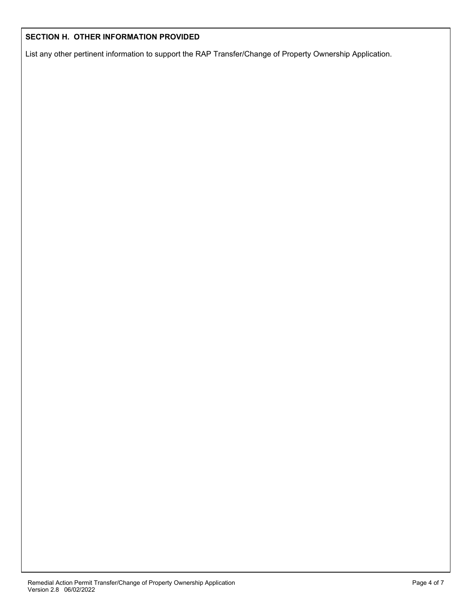#### **SECTION H. OTHER INFORMATION PROVIDED**

List any other pertinent information to support the RAP Transfer/Change of Property Ownership Application.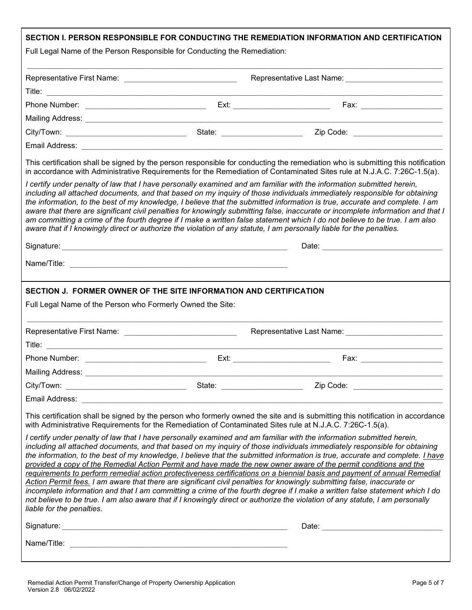| Full Legal Name of the Person Responsible for Conducting the Remediation:                                             | SECTION I. PERSON RESPONSIBLE FOR CONDUCTING THE REMEDIATION INFORMATION AND CERTIFICATION                                                                                                                                                                                                                                                                                                                                                                                                                                                                                                                                                                                                                                                                               |
|-----------------------------------------------------------------------------------------------------------------------|--------------------------------------------------------------------------------------------------------------------------------------------------------------------------------------------------------------------------------------------------------------------------------------------------------------------------------------------------------------------------------------------------------------------------------------------------------------------------------------------------------------------------------------------------------------------------------------------------------------------------------------------------------------------------------------------------------------------------------------------------------------------------|
| Representative First Name: _________________________________                                                          |                                                                                                                                                                                                                                                                                                                                                                                                                                                                                                                                                                                                                                                                                                                                                                          |
|                                                                                                                       |                                                                                                                                                                                                                                                                                                                                                                                                                                                                                                                                                                                                                                                                                                                                                                          |
|                                                                                                                       |                                                                                                                                                                                                                                                                                                                                                                                                                                                                                                                                                                                                                                                                                                                                                                          |
|                                                                                                                       |                                                                                                                                                                                                                                                                                                                                                                                                                                                                                                                                                                                                                                                                                                                                                                          |
|                                                                                                                       | Zip Code: ________________________                                                                                                                                                                                                                                                                                                                                                                                                                                                                                                                                                                                                                                                                                                                                       |
|                                                                                                                       |                                                                                                                                                                                                                                                                                                                                                                                                                                                                                                                                                                                                                                                                                                                                                                          |
|                                                                                                                       | This certification shall be signed by the person responsible for conducting the remediation who is submitting this notification<br>in accordance with Administrative Requirements for the Remediation of Contaminated Sites rule at N.J.A.C. 7:26C-1.5(a).                                                                                                                                                                                                                                                                                                                                                                                                                                                                                                               |
| aware that if I knowingly direct or authorize the violation of any statute, I am personally liable for the penalties. | I certify under penalty of law that I have personally examined and am familiar with the information submitted herein,<br>including all attached documents, and that based on my inquiry of those individuals immediately responsible for obtaining<br>the information, to the best of my knowledge, I believe that the submitted information is true, accurate and complete. I am<br>aware that there are significant civil penalties for knowingly submitting false, inaccurate or incomplete information and that I<br>am committing a crime of the fourth degree if I make a written false statement which I do not believe to be true. I am also                                                                                                                     |
|                                                                                                                       |                                                                                                                                                                                                                                                                                                                                                                                                                                                                                                                                                                                                                                                                                                                                                                          |
|                                                                                                                       |                                                                                                                                                                                                                                                                                                                                                                                                                                                                                                                                                                                                                                                                                                                                                                          |
|                                                                                                                       |                                                                                                                                                                                                                                                                                                                                                                                                                                                                                                                                                                                                                                                                                                                                                                          |
|                                                                                                                       | Ext:                                                                                                                                                                                                                                                                                                                                                                                                                                                                                                                                                                                                                                                                                                                                                                     |
| <b>Mailing Address:</b>                                                                                               |                                                                                                                                                                                                                                                                                                                                                                                                                                                                                                                                                                                                                                                                                                                                                                          |
|                                                                                                                       | Zip Code: <u>_____________________</u>                                                                                                                                                                                                                                                                                                                                                                                                                                                                                                                                                                                                                                                                                                                                   |
|                                                                                                                       |                                                                                                                                                                                                                                                                                                                                                                                                                                                                                                                                                                                                                                                                                                                                                                          |
| with Administrative Requirements for the Remediation of Contaminated Sites rule at N.J.A.C. 7:26C-1.5(a).             | This certification shall be signed by the person who formerly owned the site and is submitting this notification in accordance<br>I certify under penalty of law that I have personally examined and am familiar with the information submitted herein,<br>including all attached documents, and that based on my inquiry of those individuals immediately responsible for obtaining                                                                                                                                                                                                                                                                                                                                                                                     |
| liable for the penalties.                                                                                             | the information, to the best of my knowledge, I believe that the submitted information is true, accurate and complete. I have<br>provided a copy of the Remedial Action Permit and have made the new owner aware of the permit conditions and the<br>requirements to perform remedial action protectiveness certifications on a biennial basis and payment of annual Remedial<br>Action Permit fees. I am aware that there are significant civil penalties for knowingly submitting false, inaccurate or<br>incomplete information and that I am committing a crime of the fourth degree if I make a written false statement which I do<br>not believe to be true. I am also aware that if I knowingly direct or authorize the violation of any statute, I am personally |
|                                                                                                                       |                                                                                                                                                                                                                                                                                                                                                                                                                                                                                                                                                                                                                                                                                                                                                                          |
|                                                                                                                       |                                                                                                                                                                                                                                                                                                                                                                                                                                                                                                                                                                                                                                                                                                                                                                          |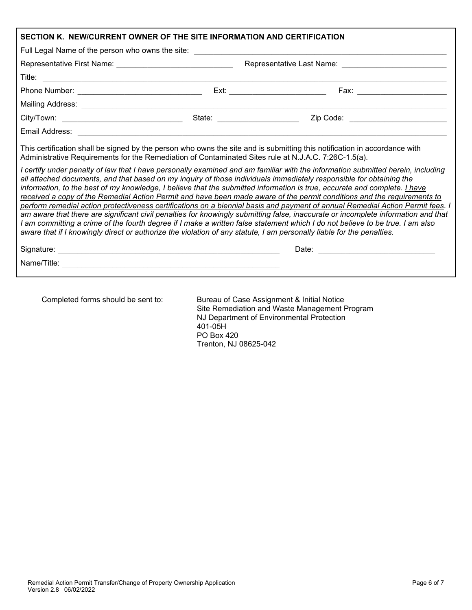| SECTION K. NEW/CURRENT OWNER OF THE SITE INFORMATION AND CERTIFICATION                                                                                                                                                                                                                                                                                                                                                                                                                                                                                                                                                                                                                                                                                                                                                                                                                                                                                                                                                                                                                                                                                                                                                                                                                                                                                                                                       |  |                                     |  |  |
|--------------------------------------------------------------------------------------------------------------------------------------------------------------------------------------------------------------------------------------------------------------------------------------------------------------------------------------------------------------------------------------------------------------------------------------------------------------------------------------------------------------------------------------------------------------------------------------------------------------------------------------------------------------------------------------------------------------------------------------------------------------------------------------------------------------------------------------------------------------------------------------------------------------------------------------------------------------------------------------------------------------------------------------------------------------------------------------------------------------------------------------------------------------------------------------------------------------------------------------------------------------------------------------------------------------------------------------------------------------------------------------------------------------|--|-------------------------------------|--|--|
| Full Legal Name of the person who owns the site: _______________________________                                                                                                                                                                                                                                                                                                                                                                                                                                                                                                                                                                                                                                                                                                                                                                                                                                                                                                                                                                                                                                                                                                                                                                                                                                                                                                                             |  |                                     |  |  |
|                                                                                                                                                                                                                                                                                                                                                                                                                                                                                                                                                                                                                                                                                                                                                                                                                                                                                                                                                                                                                                                                                                                                                                                                                                                                                                                                                                                                              |  |                                     |  |  |
|                                                                                                                                                                                                                                                                                                                                                                                                                                                                                                                                                                                                                                                                                                                                                                                                                                                                                                                                                                                                                                                                                                                                                                                                                                                                                                                                                                                                              |  |                                     |  |  |
|                                                                                                                                                                                                                                                                                                                                                                                                                                                                                                                                                                                                                                                                                                                                                                                                                                                                                                                                                                                                                                                                                                                                                                                                                                                                                                                                                                                                              |  | Fax: _________________________      |  |  |
|                                                                                                                                                                                                                                                                                                                                                                                                                                                                                                                                                                                                                                                                                                                                                                                                                                                                                                                                                                                                                                                                                                                                                                                                                                                                                                                                                                                                              |  |                                     |  |  |
|                                                                                                                                                                                                                                                                                                                                                                                                                                                                                                                                                                                                                                                                                                                                                                                                                                                                                                                                                                                                                                                                                                                                                                                                                                                                                                                                                                                                              |  | Zip Code: _________________________ |  |  |
|                                                                                                                                                                                                                                                                                                                                                                                                                                                                                                                                                                                                                                                                                                                                                                                                                                                                                                                                                                                                                                                                                                                                                                                                                                                                                                                                                                                                              |  |                                     |  |  |
| Email Address: 2008. 2009. 2009. 2009. 2010. 2010. 2010. 2010. 2010. 2010. 2010. 2010. 2010. 2010. 2010. 2010<br>This certification shall be signed by the person who owns the site and is submitting this notification in accordance with<br>Administrative Requirements for the Remediation of Contaminated Sites rule at N.J.A.C. 7:26C-1.5(a).<br>I certify under penalty of law that I have personally examined and am familiar with the information submitted herein, including<br>all attached documents, and that based on my inquiry of those individuals immediately responsible for obtaining the<br>information, to the best of my knowledge, I believe that the submitted information is true, accurate and complete. <i>I have</i><br>received a copy of the Remedial Action Permit and have been made aware of the permit conditions and the requirements to<br>perform remedial action protectiveness certifications on a biennial basis and payment of annual Remedial Action Permit fees. I<br>am aware that there are significant civil penalties for knowingly submitting false, inaccurate or incomplete information and that<br>I am committing a crime of the fourth degree if I make a written false statement which I do not believe to be true. I am also<br>aware that if I knowingly direct or authorize the violation of any statute, I am personally liable for the penalties. |  |                                     |  |  |
|                                                                                                                                                                                                                                                                                                                                                                                                                                                                                                                                                                                                                                                                                                                                                                                                                                                                                                                                                                                                                                                                                                                                                                                                                                                                                                                                                                                                              |  |                                     |  |  |
|                                                                                                                                                                                                                                                                                                                                                                                                                                                                                                                                                                                                                                                                                                                                                                                                                                                                                                                                                                                                                                                                                                                                                                                                                                                                                                                                                                                                              |  |                                     |  |  |

Completed forms should be sent to: Bureau of Case Assignment & Initial Notice Site Remediation and Waste Management Program NJ Department of Environmental Protection 401-05H PO Box 420 Trenton, NJ 08625-042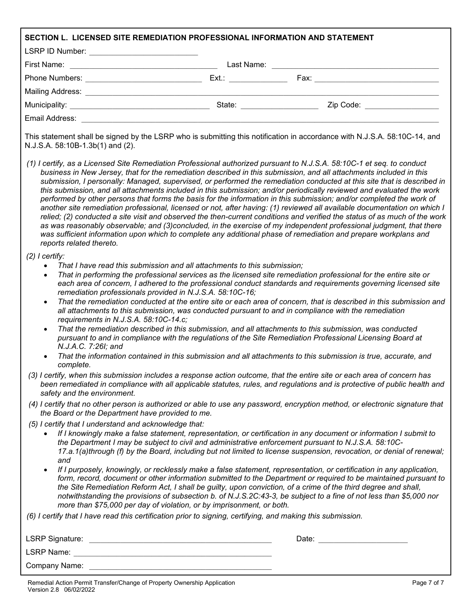|                                                                      |                                                                                                                  | SECTION L. LICENSED SITE REMEDIATION PROFESSIONAL INFORMATION AND STATEMENT                                                                                                          |                                                                                                                                                                                                                                                                                                                                                                                                                                                                                                                                                                                                                                                                                                                                                                                                                                                                                                                                                                                                                                                                                                                                                                                                           |
|----------------------------------------------------------------------|------------------------------------------------------------------------------------------------------------------|--------------------------------------------------------------------------------------------------------------------------------------------------------------------------------------|-----------------------------------------------------------------------------------------------------------------------------------------------------------------------------------------------------------------------------------------------------------------------------------------------------------------------------------------------------------------------------------------------------------------------------------------------------------------------------------------------------------------------------------------------------------------------------------------------------------------------------------------------------------------------------------------------------------------------------------------------------------------------------------------------------------------------------------------------------------------------------------------------------------------------------------------------------------------------------------------------------------------------------------------------------------------------------------------------------------------------------------------------------------------------------------------------------------|
|                                                                      | LSRP ID Number: _____________________________                                                                    |                                                                                                                                                                                      |                                                                                                                                                                                                                                                                                                                                                                                                                                                                                                                                                                                                                                                                                                                                                                                                                                                                                                                                                                                                                                                                                                                                                                                                           |
|                                                                      |                                                                                                                  |                                                                                                                                                                                      |                                                                                                                                                                                                                                                                                                                                                                                                                                                                                                                                                                                                                                                                                                                                                                                                                                                                                                                                                                                                                                                                                                                                                                                                           |
|                                                                      |                                                                                                                  |                                                                                                                                                                                      |                                                                                                                                                                                                                                                                                                                                                                                                                                                                                                                                                                                                                                                                                                                                                                                                                                                                                                                                                                                                                                                                                                                                                                                                           |
|                                                                      |                                                                                                                  |                                                                                                                                                                                      |                                                                                                                                                                                                                                                                                                                                                                                                                                                                                                                                                                                                                                                                                                                                                                                                                                                                                                                                                                                                                                                                                                                                                                                                           |
|                                                                      |                                                                                                                  |                                                                                                                                                                                      |                                                                                                                                                                                                                                                                                                                                                                                                                                                                                                                                                                                                                                                                                                                                                                                                                                                                                                                                                                                                                                                                                                                                                                                                           |
|                                                                      |                                                                                                                  |                                                                                                                                                                                      |                                                                                                                                                                                                                                                                                                                                                                                                                                                                                                                                                                                                                                                                                                                                                                                                                                                                                                                                                                                                                                                                                                                                                                                                           |
|                                                                      | N.J.S.A. 58:10B-1.3b(1) and (2).                                                                                 |                                                                                                                                                                                      | This statement shall be signed by the LSRP who is submitting this notification in accordance with N.J.S.A. 58:10C-14, and                                                                                                                                                                                                                                                                                                                                                                                                                                                                                                                                                                                                                                                                                                                                                                                                                                                                                                                                                                                                                                                                                 |
|                                                                      | reports related thereto.                                                                                         |                                                                                                                                                                                      | (1) I certify, as a Licensed Site Remediation Professional authorized pursuant to N.J.S.A. 58:10C-1 et seq. to conduct<br>business in New Jersey, that for the remediation described in this submission, and all attachments included in this<br>submission, I personally: Managed, supervised, or performed the remediation conducted at this site that is described in<br>this submission, and all attachments included in this submission; and/or periodically reviewed and evaluated the work<br>performed by other persons that forms the basis for the information in this submission; and/or completed the work of<br>another site remediation professional, licensed or not, after having: (1) reviewed all available documentation on which I<br>relied; (2) conducted a site visit and observed the then-current conditions and verified the status of as much of the work<br>as was reasonably observable; and (3)concluded, in the exercise of my independent professional judgment, that there<br>was sufficient information upon which to complete any additional phase of remediation and prepare workplans and                                                                            |
| $(2)$ I certify:<br>$\bullet$<br>$\bullet$<br>$\bullet$<br>$\bullet$ | requirements in N.J.S.A. 58:10C-14.c;<br>N.J.A.C. 7:26I; and<br>complete.<br>safety and the environment.         | That I have read this submission and all attachments to this submission;<br>remediation professionals provided in N.J.S.A. 58:10C-16;                                                | That in performing the professional services as the licensed site remediation professional for the entire site or<br>each area of concern, I adhered to the professional conduct standards and requirements governing licensed site<br>That the remediation conducted at the entire site or each area of concern, that is described in this submission and<br>all attachments to this submission, was conducted pursuant to and in compliance with the remediation<br>That the remediation described in this submission, and all attachments to this submission, was conducted<br>pursuant to and in compliance with the regulations of the Site Remediation Professional Licensing Board at<br>That the information contained in this submission and all attachments to this submission is true, accurate, and<br>(3) I certify, when this submission includes a response action outcome, that the entire site or each area of concern has<br>been remediated in compliance with all applicable statutes, rules, and regulations and is protective of public health and<br>(4) I certify that no other person is authorized or able to use any password, encryption method, or electronic signature that |
|                                                                      | the Board or the Department have provided to me.<br>(5) I certify that I understand and acknowledge that:<br>and | more than \$75,000 per day of violation, or by imprisonment, or both.<br>(6) I certify that I have read this certification prior to signing, certifying, and making this submission. | If I knowingly make a false statement, representation, or certification in any document or information I submit to<br>the Department I may be subject to civil and administrative enforcement pursuant to N.J.S.A. 58:10C-<br>17.a.1(a)through (f) by the Board, including but not limited to license suspension, revocation, or denial of renewal;<br>If I purposely, knowingly, or recklessly make a false statement, representation, or certification in any application,<br>form, record, document or other information submitted to the Department or required to be maintained pursuant to<br>the Site Remediation Reform Act, I shall be guilty, upon conviction, of a crime of the third degree and shall,<br>notwithstanding the provisions of subsection b. of N.J.S.2C:43-3, be subject to a fine of not less than \$5,000 nor                                                                                                                                                                                                                                                                                                                                                                 |
|                                                                      |                                                                                                                  |                                                                                                                                                                                      |                                                                                                                                                                                                                                                                                                                                                                                                                                                                                                                                                                                                                                                                                                                                                                                                                                                                                                                                                                                                                                                                                                                                                                                                           |
|                                                                      |                                                                                                                  |                                                                                                                                                                                      | Date: Date:                                                                                                                                                                                                                                                                                                                                                                                                                                                                                                                                                                                                                                                                                                                                                                                                                                                                                                                                                                                                                                                                                                                                                                                               |
|                                                                      | Company Name:                                                                                                    |                                                                                                                                                                                      |                                                                                                                                                                                                                                                                                                                                                                                                                                                                                                                                                                                                                                                                                                                                                                                                                                                                                                                                                                                                                                                                                                                                                                                                           |
|                                                                      |                                                                                                                  |                                                                                                                                                                                      |                                                                                                                                                                                                                                                                                                                                                                                                                                                                                                                                                                                                                                                                                                                                                                                                                                                                                                                                                                                                                                                                                                                                                                                                           |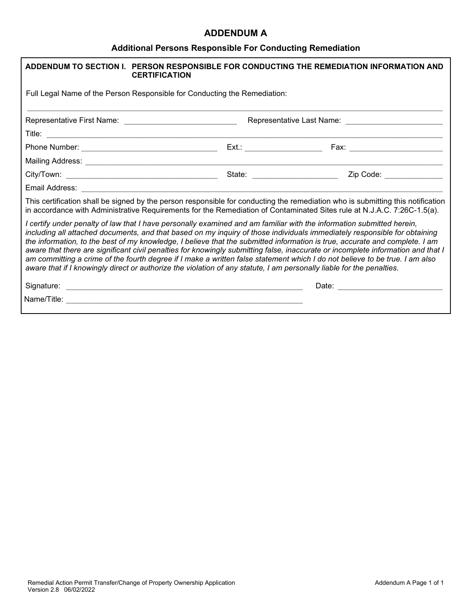### **ADDENDUM A**

# **Additional Persons Responsible For Conducting Remediation**

| ADDENDUM TO SECTION I. PERSON RESPONSIBLE FOR CONDUCTING THE REMEDIATION INFORMATION AND<br><b>CERTIFICATION</b>                                                                                                                                                                                                                                                                                                                                                                                                                                                                                                                                                                                                                                                              |                                                                                                       |
|-------------------------------------------------------------------------------------------------------------------------------------------------------------------------------------------------------------------------------------------------------------------------------------------------------------------------------------------------------------------------------------------------------------------------------------------------------------------------------------------------------------------------------------------------------------------------------------------------------------------------------------------------------------------------------------------------------------------------------------------------------------------------------|-------------------------------------------------------------------------------------------------------|
| Full Legal Name of the Person Responsible for Conducting the Remediation:                                                                                                                                                                                                                                                                                                                                                                                                                                                                                                                                                                                                                                                                                                     |                                                                                                       |
|                                                                                                                                                                                                                                                                                                                                                                                                                                                                                                                                                                                                                                                                                                                                                                               |                                                                                                       |
|                                                                                                                                                                                                                                                                                                                                                                                                                                                                                                                                                                                                                                                                                                                                                                               |                                                                                                       |
|                                                                                                                                                                                                                                                                                                                                                                                                                                                                                                                                                                                                                                                                                                                                                                               |                                                                                                       |
|                                                                                                                                                                                                                                                                                                                                                                                                                                                                                                                                                                                                                                                                                                                                                                               |                                                                                                       |
| State: _______________________                                                                                                                                                                                                                                                                                                                                                                                                                                                                                                                                                                                                                                                                                                                                                | Zip Code: National Code: National Code: National Code: National Code: National Code: National Code: N |
|                                                                                                                                                                                                                                                                                                                                                                                                                                                                                                                                                                                                                                                                                                                                                                               |                                                                                                       |
| This certification shall be signed by the person responsible for conducting the remediation who is submitting this notification<br>in accordance with Administrative Requirements for the Remediation of Contaminated Sites rule at N.J.A.C. 7:26C-1.5(a).                                                                                                                                                                                                                                                                                                                                                                                                                                                                                                                    |                                                                                                       |
| I certify under penalty of law that I have personally examined and am familiar with the information submitted herein,<br>including all attached documents, and that based on my inquiry of those individuals immediately responsible for obtaining<br>the information, to the best of my knowledge, I believe that the submitted information is true, accurate and complete. I am<br>aware that there are significant civil penalties for knowingly submitting false, inaccurate or incomplete information and that I<br>am committing a crime of the fourth degree if I make a written false statement which I do not believe to be true. I am also<br>aware that if I knowingly direct or authorize the violation of any statute, I am personally liable for the penalties. |                                                                                                       |
|                                                                                                                                                                                                                                                                                                                                                                                                                                                                                                                                                                                                                                                                                                                                                                               |                                                                                                       |
|                                                                                                                                                                                                                                                                                                                                                                                                                                                                                                                                                                                                                                                                                                                                                                               |                                                                                                       |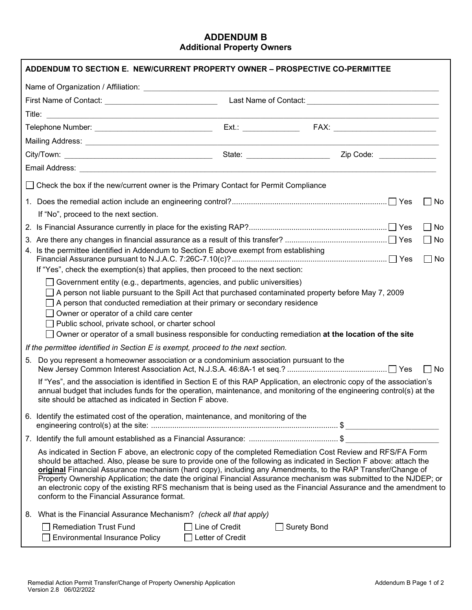#### **ADDENDUM B Additional Property Owners**

|    | ADDENDUM TO SECTION E. NEW/CURRENT PROPERTY OWNER - PROSPECTIVE CO-PERMITTEE                                                                                                                                                                                                                                                                                                                           |                       |               |                  |       |
|----|--------------------------------------------------------------------------------------------------------------------------------------------------------------------------------------------------------------------------------------------------------------------------------------------------------------------------------------------------------------------------------------------------------|-----------------------|---------------|------------------|-------|
|    |                                                                                                                                                                                                                                                                                                                                                                                                        |                       |               |                  |       |
|    |                                                                                                                                                                                                                                                                                                                                                                                                        |                       |               |                  |       |
|    |                                                                                                                                                                                                                                                                                                                                                                                                        |                       |               |                  |       |
|    |                                                                                                                                                                                                                                                                                                                                                                                                        |                       |               |                  |       |
|    |                                                                                                                                                                                                                                                                                                                                                                                                        |                       |               |                  |       |
|    |                                                                                                                                                                                                                                                                                                                                                                                                        |                       |               | State: Zip Code: |       |
|    |                                                                                                                                                                                                                                                                                                                                                                                                        |                       |               |                  |       |
|    | $\Box$ Check the box if the new/current owner is the Primary Contact for Permit Compliance                                                                                                                                                                                                                                                                                                             |                       |               |                  |       |
|    |                                                                                                                                                                                                                                                                                                                                                                                                        |                       |               |                  | No    |
|    | If "No", proceed to the next section.                                                                                                                                                                                                                                                                                                                                                                  |                       |               |                  |       |
|    |                                                                                                                                                                                                                                                                                                                                                                                                        |                       |               |                  | No    |
|    |                                                                                                                                                                                                                                                                                                                                                                                                        |                       |               |                  | No    |
|    | 4. Is the permittee identified in Addendum to Section E above exempt from establishing                                                                                                                                                                                                                                                                                                                 |                       |               |                  | l INo |
|    | If "Yes", check the exemption(s) that applies, then proceed to the next section:                                                                                                                                                                                                                                                                                                                       |                       |               |                  |       |
|    | $\Box$ Government entity (e.g., departments, agencies, and public universities)                                                                                                                                                                                                                                                                                                                        |                       |               |                  |       |
|    | A person not liable pursuant to the Spill Act that purchased contaminated property before May 7, 2009                                                                                                                                                                                                                                                                                                  |                       |               |                  |       |
|    | A person that conducted remediation at their primary or secondary residence                                                                                                                                                                                                                                                                                                                            |                       |               |                  |       |
|    | $\Box$ Owner or operator of a child care center<br>Public school, private school, or charter school                                                                                                                                                                                                                                                                                                    |                       |               |                  |       |
|    | Owner or operator of a small business responsible for conducting remediation at the location of the site                                                                                                                                                                                                                                                                                               |                       |               |                  |       |
|    | If the permittee identified in Section E is exempt, proceed to the next section.                                                                                                                                                                                                                                                                                                                       |                       |               |                  |       |
| 5. | Do you represent a homeowner association or a condominium association pursuant to the                                                                                                                                                                                                                                                                                                                  |                       |               |                  | ∣ ∣No |
|    | If "Yes", and the association is identified in Section E of this RAP Application, an electronic copy of the association's                                                                                                                                                                                                                                                                              |                       |               |                  |       |
|    | annual budget that includes funds for the operation, maintenance, and monitoring of the engineering control(s) at the<br>site should be attached as indicated in Section F above.                                                                                                                                                                                                                      |                       |               |                  |       |
|    | 6. Identify the estimated cost of the operation, maintenance, and monitoring of the                                                                                                                                                                                                                                                                                                                    |                       |               |                  |       |
|    |                                                                                                                                                                                                                                                                                                                                                                                                        |                       |               |                  |       |
|    | As indicated in Section F above, an electronic copy of the completed Remediation Cost Review and RFS/FA Form                                                                                                                                                                                                                                                                                           |                       |               |                  |       |
|    | should be attached. Also, please be sure to provide one of the following as indicated in Section F above: attach the                                                                                                                                                                                                                                                                                   |                       |               |                  |       |
|    | original Financial Assurance mechanism (hard copy), including any Amendments, to the RAP Transfer/Change of<br>Property Ownership Application; the date the original Financial Assurance mechanism was submitted to the NJDEP; or<br>an electronic copy of the existing RFS mechanism that is being used as the Financial Assurance and the amendment to<br>conform to the Financial Assurance format. |                       |               |                  |       |
|    | 8. What is the Financial Assurance Mechanism? (check all that apply)                                                                                                                                                                                                                                                                                                                                   |                       |               |                  |       |
|    | $\Box$ Remediation Trust Fund                                                                                                                                                                                                                                                                                                                                                                          | $\Box$ Line of Credit | □ Surety Bond |                  |       |
|    | <b>Environmental Insurance Policy</b>                                                                                                                                                                                                                                                                                                                                                                  | Letter of Credit      |               |                  |       |